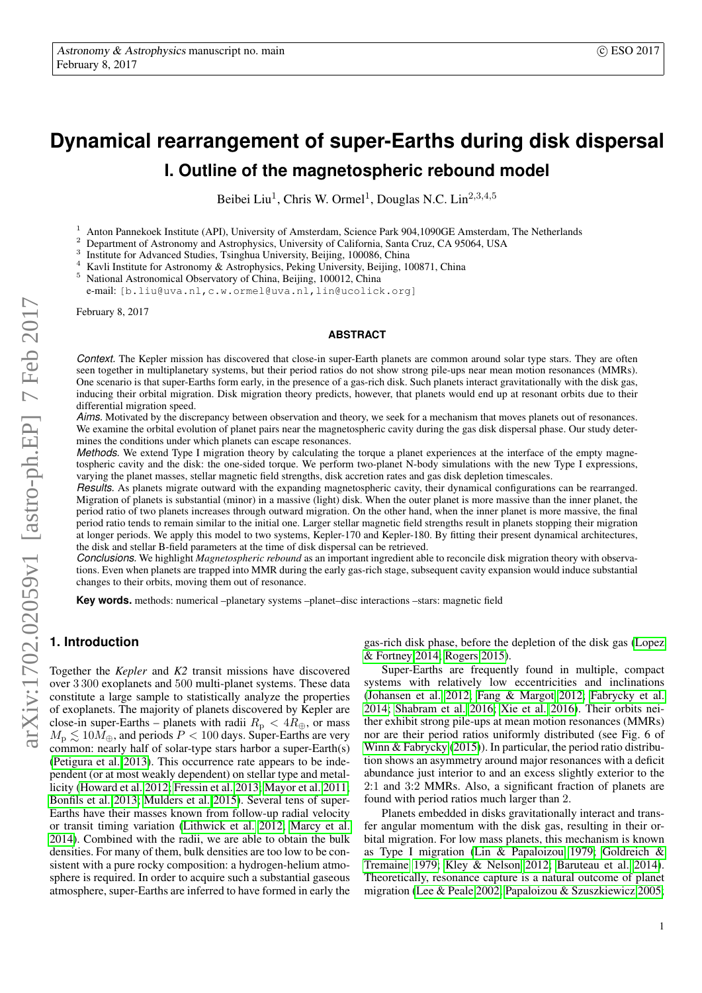# **Dynamical rearrangement of super-Earths during disk dispersal I. Outline of the magnetospheric rebound model**

Beibei Liu<sup>1</sup>, Chris W. Ormel<sup>1</sup>, Douglas N.C. Lin<sup>2,3,4,5</sup>

<sup>1</sup> Anton Pannekoek Institute (API), University of Amsterdam, Science Park 904,1090GE Amsterdam, The Netherlands

<sup>2</sup> Department of Astronomy and Astrophysics, University of California, Santa Cruz, CA 95064, USA

3 Institute for Advanced Studies, Tsinghua University, Beijing, 100086, China

<sup>4</sup> Kavli Institute for Astronomy & Astrophysics, Peking University, Beijing, 100871, China<br><sup>5</sup> National Astronomical Observatory of China, Beijing, 100012, China

<sup>5</sup> National Astronomical Observatory of China, Beijing, 100012, China

e-mail: [b.liu@uva.nl,c.w.ormel@uva.nl,lin@ucolick.org]

February 8, 2017

## **ABSTRACT**

*Context.* The Kepler mission has discovered that close-in super-Earth planets are common around solar type stars. They are often seen together in multiplanetary systems, but their period ratios do not show strong pile-ups near mean motion resonances (MMRs). One scenario is that super-Earths form early, in the presence of a gas-rich disk. Such planets interact gravitationally with the disk gas, inducing their orbital migration. Disk migration theory predicts, however, that planets would end up at resonant orbits due to their differential migration speed.

*Aims*. Motivated by the discrepancy between observation and theory, we seek for a mechanism that moves planets out of resonances. We examine the orbital evolution of planet pairs near the magnetospheric cavity during the gas disk dispersal phase. Our study determines the conditions under which planets can escape resonances.

*Methods.* We extend Type I migration theory by calculating the torque a planet experiences at the interface of the empty magnetospheric cavity and the disk: the one-sided torque. We perform two-planet N-body simulations with the new Type I expressions, varying the planet masses, stellar magnetic field strengths, disk accretion rates and gas disk depletion timescales.

*Results.* As planets migrate outward with the expanding magnetospheric cavity, their dynamical configurations can be rearranged. Migration of planets is substantial (minor) in a massive (light) disk. When the outer planet is more massive than the inner planet, the period ratio of two planets increases through outward migration. On the other hand, when the inner planet is more massive, the final period ratio tends to remain similar to the initial one. Larger stellar magnetic field strengths result in planets stopping their migration at longer periods. We apply this model to two systems, Kepler-170 and Kepler-180. By fitting their present dynamical architectures, the disk and stellar B-field parameters at the time of disk dispersal can be retrieved.

*Conclusions.* We highlight *Magnetospheric rebound* as an important ingredient able to reconcile disk migration theory with observations. Even when planets are trapped into MMR during the early gas-rich stage, subsequent cavity expansion would induce substantial changes to their orbits, moving them out of resonance.

**Key words.** methods: numerical –planetary systems –planet–disc interactions –stars: magnetic field

# **1. Introduction**

Together the *Kepler* and *K2* transit missions have discovered over 3 300 exoplanets and 500 multi-planet systems. These data constitute a large sample to statistically analyze the properties of exoplanets. The majority of planets discovered by Kepler are close-in super-Earths – planets with radii  $R_p < 4R_{\oplus}$ , or mass  $M_{\rm p} \lesssim 10 \dot{M}_{\oplus}$ , and periods  $P < 100$  days. Super-Earths are very common: nearly half of solar-type stars harbor a super-Earth(s) [\(Petigura et al. 2013\)](#page-9-0). This occurrence rate appears to be independent (or at most weakly dependent) on stellar type and metallicity [\(Howard et al. 2012;](#page-9-1) [Fressin et al. 2013;](#page-9-2) [Mayor et al. 2011;](#page-9-3) [Bonfils et al. 2013;](#page-9-4) [Mulders et al. 2015\)](#page-9-5). Several tens of super-Earths have their masses known from follow-up radial velocity or transit timing variation [\(Lithwick et al. 2012;](#page-9-6) [Marcy et al.](#page-9-7) [2014\)](#page-9-7). Combined with the radii, we are able to obtain the bulk densities. For many of them, bulk densities are too low to be consistent with a pure rocky composition: a hydrogen-helium atmosphere is required. In order to acquire such a substantial gaseous atmosphere, super-Earths are inferred to have formed in early the gas-rich disk phase, before the depletion of the disk gas [\(Lopez](#page-9-8) [& Fortney 2014;](#page-9-8) [Rogers 2015\)](#page-9-9).

Super-Earths are frequently found in multiple, compact systems with relatively low eccentricities and inclinations [\(Johansen et al. 2012;](#page-9-10) [Fang & Margot 2012;](#page-9-11) [Fabrycky et al.](#page-9-12) [2014;](#page-9-12) [Shabram et al. 2016;](#page-9-13) [Xie et al. 2016\)](#page-10-0). Their orbits neither exhibit strong pile-ups at mean motion resonances (MMRs) nor are their period ratios uniformly distributed (see Fig. 6 of [Winn & Fabrycky](#page-10-1) [\(2015\)](#page-10-1)). In particular, the period ratio distribution shows an asymmetry around major resonances with a deficit abundance just interior to and an excess slightly exterior to the 2:1 and 3:2 MMRs. Also, a significant fraction of planets are found with period ratios much larger than 2.

Planets embedded in disks gravitationally interact and transfer angular momentum with the disk gas, resulting in their orbital migration. For low mass planets, this mechanism is known as Type I migration [\(Lin & Papaloizou 1979;](#page-9-14) [Goldreich &](#page-9-15) [Tremaine 1979;](#page-9-15) [Kley & Nelson 2012;](#page-9-16) [Baruteau et al. 2014\)](#page-9-17). Theoretically, resonance capture is a natural outcome of planet migration [\(Lee & Peale 2002;](#page-9-18) [Papaloizou & Szuszkiewicz 2005;](#page-9-19)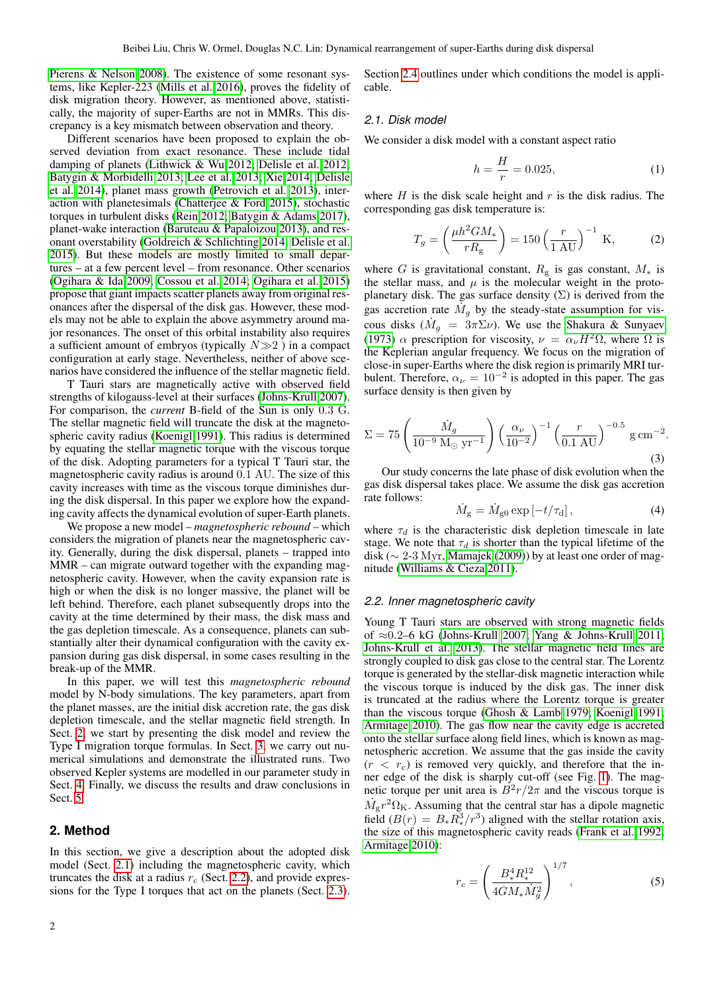[Pierens & Nelson 2008\)](#page-9-20). The existence of some resonant systems, like Kepler-223 [\(Mills et al. 2016\)](#page-9-21), proves the fidelity of disk migration theory. However, as mentioned above, statistically, the majority of super-Earths are not in MMRs. This discrepancy is a key mismatch between observation and theory.

Different scenarios have been proposed to explain the observed deviation from exact resonance. These include tidal damping of planets [\(Lithwick & Wu 2012;](#page-9-22) [Delisle et al. 2012;](#page-9-23) [Batygin & Morbidelli 2013;](#page-9-24) [Lee et al. 2013;](#page-9-25) [Xie 2014;](#page-10-2) [Delisle](#page-9-26) [et al. 2014\)](#page-9-26), planet mass growth [\(Petrovich et al. 2013\)](#page-9-27), interaction with planetesimals [\(Chatterjee & Ford 2015\)](#page-9-28), stochastic torques in turbulent disks [\(Rein 2012;](#page-9-29) [Batygin & Adams 2017\)](#page-9-30), planet-wake interaction [\(Baruteau & Papaloizou 2013\)](#page-9-31), and resonant overstability [\(Goldreich & Schlichting 2014;](#page-9-32) [Delisle et al.](#page-9-33) [2015\)](#page-9-33). But these models are mostly limited to small departures – at a few percent level – from resonance. Other scenarios [\(Ogihara & Ida 2009;](#page-9-34) [Cossou et al. 2014;](#page-9-35) [Ogihara et al. 2015\)](#page-9-36) propose that giant impacts scatter planets away from original resonances after the dispersal of the disk gas. However, these models may not be able to explain the above asymmetry around major resonances. The onset of this orbital instability also requires a sufficient amount of embryos (typically  $N \gg 2$ ) in a compact configuration at early stage. Nevertheless, neither of above scenarios have considered the influence of the stellar magnetic field.

T Tauri stars are magnetically active with observed field strengths of kilogauss-level at their surfaces [\(Johns-Krull 2007\)](#page-9-37). For comparison, the *current* B-field of the Sun is only 0.3 G. The stellar magnetic field will truncate the disk at the magnetospheric cavity radius [\(Koenigl 1991\)](#page-9-38). This radius is determined by equating the stellar magnetic torque with the viscous torque of the disk. Adopting parameters for a typical T Tauri star, the magnetospheric cavity radius is around 0.1 AU. The size of this cavity increases with time as the viscous torque diminishes during the disk dispersal. In this paper we explore how the expanding cavity affects the dynamical evolution of super-Earth planets.

We propose a new model – *magnetospheric rebound* – which considers the migration of planets near the magnetospheric cavity. Generally, during the disk dispersal, planets – trapped into MMR – can migrate outward together with the expanding magnetospheric cavity. However, when the cavity expansion rate is high or when the disk is no longer massive, the planet will be left behind. Therefore, each planet subsequently drops into the cavity at the time determined by their mass, the disk mass and the gas depletion timescale. As a consequence, planets can substantially alter their dynamical configuration with the cavity expansion during gas disk dispersal, in some cases resulting in the break-up of the MMR.

In this paper, we will test this *magnetospheric rebound* model by N-body simulations. The key parameters, apart from the planet masses, are the initial disk accretion rate, the gas disk depletion timescale, and the stellar magnetic field strength. In Sect. [2,](#page-1-0) we start by presenting the disk model and review the Type I migration torque formulas. In Sect. [3,](#page-5-0) we carry out numerical simulations and demonstrate the illustrated runs. Two observed Kepler systems are modelled in our parameter study in Sect. [4.](#page-7-0) Finally, we discuss the results and draw conclusions in Sect. [5.](#page-8-0)

# <span id="page-1-0"></span>**2. Method**

In this section, we give a description about the adopted disk model (Sect. [2.1\)](#page-1-1) including the magnetospheric cavity, which truncates the disk at a radius  $r_c$  (Sect. [2.2\)](#page-1-2), and provide expressions for the Type I torques that act on the planets (Sect. [2.3\)](#page-2-0). Section [2.4](#page-4-0) outlines under which conditions the model is applicable.

## <span id="page-1-1"></span>*2.1. Disk model*

We consider a disk model with a constant aspect ratio

$$
h = \frac{H}{r} = 0.025,\tag{1}
$$

where  $H$  is the disk scale height and  $r$  is the disk radius. The corresponding gas disk temperature is:

<span id="page-1-5"></span>
$$
T_g = \left(\frac{\mu h^2 G M_*}{r R_{\rm g}}\right) = 150 \left(\frac{r}{1 \text{ AU}}\right)^{-1} \text{ K},\tag{2}
$$

where G is gravitational constant,  $R<sub>g</sub>$  is gas constant,  $M_*$  is the stellar mass, and  $\mu$  is the molecular weight in the protoplanetary disk. The gas surface density  $(\Sigma)$  is derived from the gas accretion rate  $\dot{M}_g$  by the steady-state assumption for viscous disks  $(M_g = 3\pi \Sigma \nu)$ . We use the [Shakura & Sunyaev](#page-9-39) [\(1973\)](#page-9-39)  $\alpha$  prescription for viscosity,  $\nu = \alpha_{\nu} H^2 \Omega$ , where  $\Omega$  is the Keplerian angular frequency. We focus on the migration of close-in super-Earths where the disk region is primarily MRI turbulent. Therefore,  $\alpha_{\nu} = 10^{-2}$  is adopted in this paper. The gas surface density is then given by

<span id="page-1-4"></span>
$$
\Sigma = 75 \left( \frac{\dot{M}_g}{10^{-9} \text{ M}_{\odot} \text{ yr}^{-1}} \right) \left( \frac{\alpha_{\nu}}{10^{-2}} \right)^{-1} \left( \frac{r}{0.1 \text{ AU}} \right)^{-0.5} \text{ g cm}^{-2}.
$$
\n(3)

Our study concerns the late phase of disk evolution when the gas disk dispersal takes place. We assume the disk gas accretion rate follows:

$$
\dot{M}_{\rm g} = \dot{M}_{\rm g0} \exp\left[-t/\tau_{\rm d}\right],\tag{4}
$$

where  $\tau_d$  is the characteristic disk depletion timescale in late stage. We note that  $\tau_d$  is shorter than the typical lifetime of the disk (∼ 2-3 Myr, [Mamajek](#page-9-40) [\(2009\)](#page-9-40)) by at least one order of magnitude [\(Williams & Cieza 2011\)](#page-10-3).

## <span id="page-1-2"></span>*2.2. Inner magnetospheric cavity*

Young T Tauri stars are observed with strong magnetic fields of ≈0.2–6 kG [\(Johns-Krull 2007;](#page-9-37) [Yang & Johns-Krull 2011;](#page-10-4) [Johns-Krull et al. 2013\)](#page-9-41). The stellar magnetic field lines are strongly coupled to disk gas close to the central star. The Lorentz torque is generated by the stellar-disk magnetic interaction while the viscous torque is induced by the disk gas. The inner disk is truncated at the radius where the Lorentz torque is greater than the viscous torque [\(Ghosh & Lamb 1979;](#page-9-42) [Koenigl 1991;](#page-9-38) [Armitage 2010\)](#page-9-43). The gas flow near the cavity edge is accreted onto the stellar surface along field lines, which is known as magnetospheric accretion. We assume that the gas inside the cavity  $(r < r<sub>c</sub>)$  is removed very quickly, and therefore that the inner edge of the disk is sharply cut-off (see Fig. [1\)](#page-2-1). The magnetic torque per unit area is  $\overline{B^2r}/2\pi$  and the viscous torque is  $\dot{M}_{\rm g}r^2\Omega_{\rm K}$ . Assuming that the central star has a dipole magnetic field  $(B(r) = B_*R_*^3/r^3)$  aligned with the stellar rotation axis, the size of this magnetospheric cavity reads [\(Frank et al. 1992;](#page-9-44) [Armitage 2010\)](#page-9-43):

<span id="page-1-3"></span>
$$
r_c = \left(\frac{B_*^4 R_*^{12}}{4GM_* \dot{M}_g^2}\right)^{1/7},\tag{5}
$$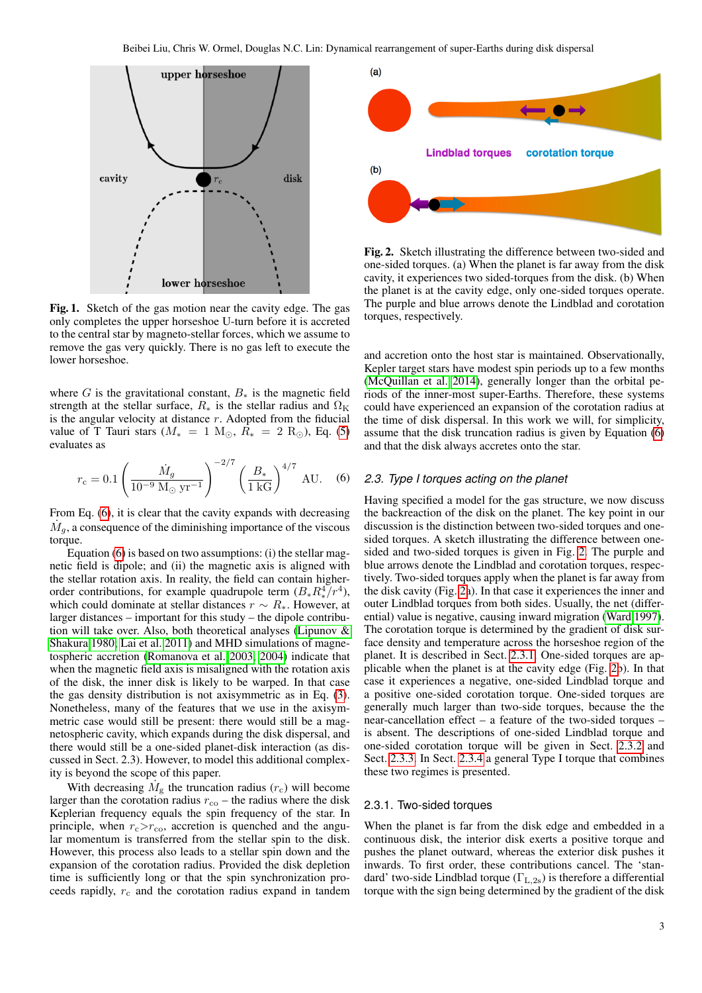

<span id="page-2-1"></span>Fig. 1. Sketch of the gas motion near the cavity edge. The gas only completes the upper horseshoe U-turn before it is accreted to the central star by magneto-stellar forces, which we assume to remove the gas very quickly. There is no gas left to execute the lower horseshoe.

where G is the gravitational constant,  $B_*$  is the magnetic field strength at the stellar surface,  $R_*$  is the stellar radius and  $\Omega_K$ is the angular velocity at distance  $r$ . Adopted from the fiducial value of T Tauri stars ( $M_* = 1$  M<sub> $\odot$ </sub>,  $R_* = 2$  R<sub> $\odot$ </sub>), Eq. [\(5\)](#page-1-3) evaluates as

<span id="page-2-2"></span>
$$
r_{\rm c} = 0.1 \left( \frac{\dot{M}_g}{10^{-9} \, \text{M}_{\odot} \, \text{yr}^{-1}} \right)^{-2/7} \left( \frac{B_*}{1 \, \text{kG}} \right)^{4/7} \, \text{AU.} \quad (6)
$$

From Eq. [\(6\)](#page-2-2), it is clear that the cavity expands with decreasing  $\dot{M}_g$ , a consequence of the diminishing importance of the viscous torque.

Equation [\(6\)](#page-2-2) is based on two assumptions: (i) the stellar magnetic field is dipole; and (ii) the magnetic axis is aligned with the stellar rotation axis. In reality, the field can contain higherorder contributions, for example quadrupole term  $(B_*R_*^4/r^4)$ , which could dominate at stellar distances  $r \sim R_*$ . However, at larger distances – important for this study – the dipole contribution will take over. Also, both theoretical analyses [\(Lipunov &](#page-9-45) [Shakura 1980;](#page-9-45) [Lai et al. 2011\)](#page-9-46) and MHD simulations of magnetospheric accretion [\(Romanova et al. 2003,](#page-9-47) [2004\)](#page-9-48) indicate that when the magnetic field axis is misaligned with the rotation axis of the disk, the inner disk is likely to be warped. In that case the gas density distribution is not axisymmetric as in Eq. [\(3\)](#page-1-4). Nonetheless, many of the features that we use in the axisymmetric case would still be present: there would still be a magnetospheric cavity, which expands during the disk dispersal, and there would still be a one-sided planet-disk interaction (as discussed in Sect. 2.3). However, to model this additional complexity is beyond the scope of this paper.

With decreasing  $\dot{M}_{\rm g}$  the truncation radius ( $r_{\rm c}$ ) will become larger than the corotation radius  $r_{\rm co}$  – the radius where the disk Keplerian frequency equals the spin frequency of the star. In principle, when  $r_c > r_{\rm co}$ , accretion is quenched and the angular momentum is transferred from the stellar spin to the disk. However, this process also leads to a stellar spin down and the expansion of the corotation radius. Provided the disk depletion time is sufficiently long or that the spin synchronization proceeds rapidly,  $r_c$  and the corotation radius expand in tandem



<span id="page-2-3"></span>Fig. 2. Sketch illustrating the difference between two-sided and one-sided torques. (a) When the planet is far away from the disk cavity, it experiences two sided-torques from the disk. (b) When the planet is at the cavity edge, only one-sided torques operate. The purple and blue arrows denote the Lindblad and corotation torques, respectively.

and accretion onto the host star is maintained. Observationally, Kepler target stars have modest spin periods up to a few months [\(McQuillan et al. 2014\)](#page-9-49), generally longer than the orbital periods of the inner-most super-Earths. Therefore, these systems could have experienced an expansion of the corotation radius at the time of disk dispersal. In this work we will, for simplicity, assume that the disk truncation radius is given by Equation [\(6\)](#page-2-2) and that the disk always accretes onto the star.

## <span id="page-2-0"></span>*2.3. Type I torques acting on the planet*

Having specified a model for the gas structure, we now discuss the backreaction of the disk on the planet. The key point in our discussion is the distinction between two-sided torques and onesided torques. A sketch illustrating the difference between onesided and two-sided torques is given in Fig. [2.](#page-2-3) The purple and blue arrows denote the Lindblad and corotation torques, respectively. Two-sided torques apply when the planet is far away from the disk cavity (Fig. [2a](#page-2-3)). In that case it experiences the inner and outer Lindblad torques from both sides. Usually, the net (differential) value is negative, causing inward migration [\(Ward 1997\)](#page-9-50). The corotation torque is determined by the gradient of disk surface density and temperature across the horseshoe region of the planet. It is described in Sect. [2.3.1.](#page-2-4) One-sided torques are applicable when the planet is at the cavity edge (Fig. [2b](#page-2-3)). In that case it experiences a negative, one-sided Lindblad torque and a positive one-sided corotation torque. One-sided torques are generally much larger than two-side torques, because the the near-cancellation effect – a feature of the two-sided torques – is absent. The descriptions of one-sided Lindblad torque and one-sided corotation torque will be given in Sect. [2.3.2](#page-3-0) and Sect. [2.3.3.](#page-3-1) In Sect. [2.3.4](#page-3-2) a general Type I torque that combines these two regimes is presented.

## <span id="page-2-4"></span>2.3.1. Two-sided torques

When the planet is far from the disk edge and embedded in a continuous disk, the interior disk exerts a positive torque and pushes the planet outward, whereas the exterior disk pushes it inwards. To first order, these contributions cancel. The 'standard' two-side Lindblad torque ( $\Gamma_{\rm L,2s}$ ) is therefore a differential torque with the sign being determined by the gradient of the disk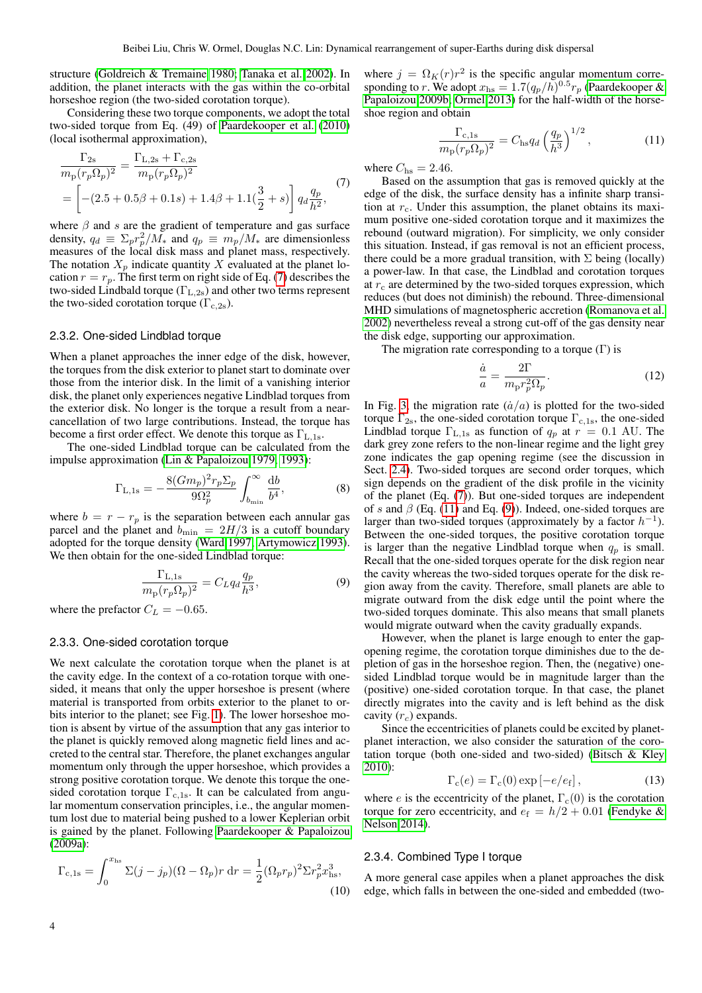structure [\(Goldreich & Tremaine 1980;](#page-9-51) [Tanaka et al. 2002\)](#page-9-52). In addition, the planet interacts with the gas within the co-orbital horseshoe region (the two-sided corotation torque).

Considering these two torque components, we adopt the total two-sided torque from Eq. (49) of [Paardekooper et al.](#page-9-53) [\(2010\)](#page-9-53) (local isothermal approximation),

<span id="page-3-3"></span>
$$
\frac{\Gamma_{2s}}{m_{\rm p}(r_p \Omega_p)^2} = \frac{\Gamma_{\rm L,2s} + \Gamma_{\rm c,2s}}{m_{\rm p}(r_p \Omega_p)^2} \n= \left[ -(2.5 + 0.5\beta + 0.1s) + 1.4\beta + 1.1(\frac{3}{2} + s) \right] q_d \frac{q_p}{h^2},
$$
\n(7)

where  $\beta$  and s are the gradient of temperature and gas surface density,  $q_d \equiv \sum_p r_p^2 / M_*$  and  $q_p \equiv m_p / M_*$  are dimensionless measures of the local disk mass and planet mass, respectively. The notation  $X_p$  indicate quantity X evaluated at the planet location  $r = r_p$ . The first term on right side of Eq. [\(7\)](#page-3-3) describes the two-sided Lindbald torque  $(\Gamma_{L,2s})$  and other two terms represent the two-sided corotation torque  $(\Gamma_{c,2s})$ .

## <span id="page-3-0"></span>2.3.2. One-sided Lindblad torque

When a planet approaches the inner edge of the disk, however, the torques from the disk exterior to planet start to dominate over those from the interior disk. In the limit of a vanishing interior disk, the planet only experiences negative Lindblad torques from the exterior disk. No longer is the torque a result from a nearcancellation of two large contributions. Instead, the torque has become a first order effect. We denote this torque as  $\Gamma_{\text{L-1s}}$ .

The one-sided Lindblad torque can be calculated from the impulse approximation [\(Lin & Papaloizou 1979,](#page-9-14) [1993\)](#page-9-54):

$$
\Gamma_{\rm L,1s} = -\frac{8(Gm_p)^2 r_p \Sigma_p}{9\Omega_p^2} \int_{b_{\rm min}}^{\infty} \frac{db}{b^4},\tag{8}
$$

where  $b = r - r_p$  is the separation between each annular gas parcel and the planet and  $b_{\min} = 2H/3$  is a cutoff boundary adopted for the torque density [\(Ward 1997;](#page-9-50) [Artymowicz 1993\)](#page-9-55). We then obtain for the one-sided Lindblad torque:

<span id="page-3-5"></span>
$$
\frac{\Gamma_{\text{L},1\text{s}}}{m_{\text{p}}(r_p \Omega_p)^2} = C_L q_d \frac{q_p}{h^3},\tag{9}
$$

where the prefactor  $C_L = -0.65$ .

# <span id="page-3-1"></span>2.3.3. One-sided corotation torque

We next calculate the corotation torque when the planet is at the cavity edge. In the context of a co-rotation torque with onesided, it means that only the upper horseshoe is present (where material is transported from orbits exterior to the planet to orbits interior to the planet; see Fig. [1\)](#page-2-1). The lower horseshoe motion is absent by virtue of the assumption that any gas interior to the planet is quickly removed along magnetic field lines and accreted to the central star. Therefore, the planet exchanges angular momentum only through the upper horseshoe, which provides a strong positive corotation torque. We denote this torque the onesided corotation torque  $\Gamma_{c,1s}$ . It can be calculated from angular momentum conservation principles, i.e., the angular momentum lost due to material being pushed to a lower Keplerian orbit is gained by the planet. Following [Paardekooper & Papaloizou](#page-9-56) [\(2009a\)](#page-9-56):

$$
\Gamma_{\rm c,1s} = \int_0^{x_{\rm hs}} \Sigma(j - j_p)(\Omega - \Omega_p)r \, dr = \frac{1}{2} (\Omega_p r_p)^2 \Sigma r_p^2 x_{\rm hs}^3,
$$
\n(10)

where  $j = \Omega_K(r) r^2$  is the specific angular momentum corresponding to r. We adopt  $x_{\text{hs}} = 1.7(q_p/h)^{0.5} r_p$  [\(Paardekooper &](#page-9-57) [Papaloizou 2009b;](#page-9-57) [Ormel 2013\)](#page-9-58) for the half-width of the horseshoe region and obtain

<span id="page-3-4"></span>
$$
\frac{\Gamma_{\rm c,1s}}{m_{\rm p}(r_p \Omega_p)^2} = C_{\rm hs} q_d \left(\frac{q_p}{h^3}\right)^{1/2},\tag{11}
$$

where  $C_{\text{hs}} = 2.46$ .

Based on the assumption that gas is removed quickly at the edge of the disk, the surface density has a infinite sharp transition at  $r_c$ . Under this assumption, the planet obtains its maximum positive one-sided corotation torque and it maximizes the rebound (outward migration). For simplicity, we only consider this situation. Instead, if gas removal is not an efficient process, there could be a more gradual transition, with  $\Sigma$  being (locally) a power-law. In that case, the Lindblad and corotation torques at  $r_c$  are determined by the two-sided torques expression, which reduces (but does not diminish) the rebound. Three-dimensional MHD simulations of magnetospheric accretion [\(Romanova et al.](#page-9-59) [2002\)](#page-9-59) nevertheless reveal a strong cut-off of the gas density near the disk edge, supporting our approximation.

The migration rate corresponding to a torque  $(Γ)$  is

<span id="page-3-6"></span>
$$
\frac{\dot{a}}{a} = \frac{2\Gamma}{m_{\rm p}r_p^2\Omega_p}.\tag{12}
$$

In Fig. [3,](#page-4-1) the migration rate  $(\dot{a}/a)$  is plotted for the two-sided torque  $\Gamma_{2s}$ , the one-sided corotation torque  $\Gamma_{c,1s}$ , the one-sided Lindblad torque  $\Gamma_{L,1s}$  as function of  $q_p$  at  $r = 0.1$  AU. The dark grey zone refers to the non-linear regime and the light grey zone indicates the gap opening regime (see the discussion in Sect. [2.4\)](#page-4-0). Two-sided torques are second order torques, which sign depends on the gradient of the disk profile in the vicinity of the planet (Eq. [\(7\)](#page-3-3)). But one-sided torques are independent of s and  $\beta$  (Eq. [\(11\)](#page-3-4) and Eq. [\(9\)](#page-3-5)). Indeed, one-sided torques are larger than two-sided torques (approximately by a factor  $h^{-1}$ ). Between the one-sided torques, the positive corotation torque is larger than the negative Lindblad torque when  $q_p$  is small. Recall that the one-sided torques operate for the disk region near the cavity whereas the two-sided torques operate for the disk region away from the cavity. Therefore, small planets are able to migrate outward from the disk edge until the point where the two-sided torques dominate. This also means that small planets would migrate outward when the cavity gradually expands.

However, when the planet is large enough to enter the gapopening regime, the corotation torque diminishes due to the depletion of gas in the horseshoe region. Then, the (negative) onesided Lindblad torque would be in magnitude larger than the (positive) one-sided corotation torque. In that case, the planet directly migrates into the cavity and is left behind as the disk cavity  $(r_c)$  expands.

Since the eccentricities of planets could be excited by planetplanet interaction, we also consider the saturation of the corotation torque (both one-sided and two-sided) [\(Bitsch & Kley](#page-9-60) [2010\)](#page-9-60):

$$
\Gamma_{\rm c}(e) = \Gamma_{\rm c}(0) \exp\left[-e/e_{\rm f}\right],\tag{13}
$$

where *e* is the eccentricity of the planet,  $\Gamma_c(0)$  is the corotation torque for zero eccentricity, and  $e_f = h/2 + 0.01$  [\(Fendyke &](#page-9-61) [Nelson 2014\)](#page-9-61).

## <span id="page-3-2"></span>2.3.4. Combined Type I torque

A more general case appiles when a planet approaches the disk edge, which falls in between the one-sided and embedded (two-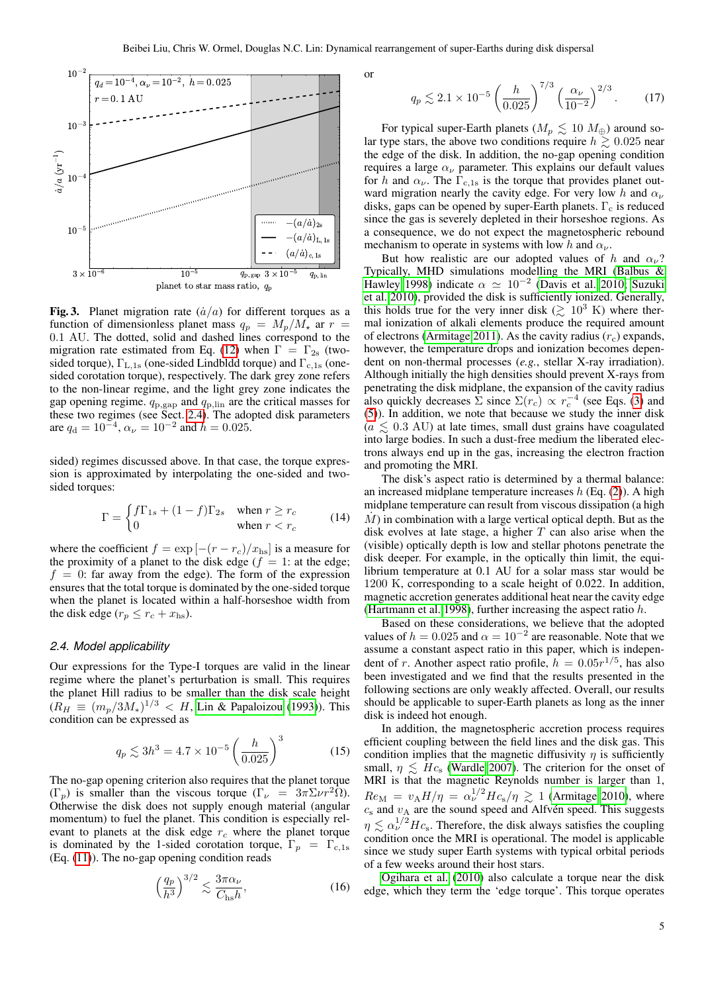

<span id="page-4-1"></span>Fig. 3. Planet migration rate  $(\dot{a}/a)$  for different torques as a function of dimensionless planet mass  $q_p = M_p/M_*$  ar  $r =$ 0.1 AU. The dotted, solid and dashed lines correspond to the migration rate estimated from Eq. [\(12\)](#page-3-6) when  $\Gamma = \Gamma_{2s}$  (twosided torque),  $\Gamma_{L,1s}$  (one-sided Lindbldd torque) and  $\Gamma_{c,1s}$  (onesided corotation torque), respectively. The dark grey zone refers to the non-linear regime, and the light grey zone indicates the gap opening regime.  $q_{p,\text{gap}}$  and  $q_{p,\text{lin}}$  are the critical masses for these two regimes (see Sect. [2.4\)](#page-4-0). The adopted disk parameters are  $q_d = 10^{-4}$ ,  $\alpha_{\nu} = 10^{-2}$  and  $h = 0.025$ .

sided) regimes discussed above. In that case, the torque expression is approximated by interpolating the one-sided and twosided torques:

$$
\Gamma = \begin{cases} f\Gamma_{1s} + (1-f)\Gamma_{2s} & \text{when } r \ge r_c \\ 0 & \text{when } r < r_c \end{cases} \tag{14}
$$

where the coefficient  $f = \exp[-(r - r_c)/x_{\text{hs}}]$  is a measure for the proximity of a planet to the disk edge ( $f = 1$ : at the edge;  $f = 0$ : far away from the edge). The form of the expression ensures that the total torque is dominated by the one-sided torque when the planet is located within a half-horseshoe width from the disk edge ( $r_p \le r_c + x_{\text{hs}}$ ).

## <span id="page-4-0"></span>*2.4. Model applicability*

Our expressions for the Type-I torques are valid in the linear regime where the planet's perturbation is small. This requires the planet Hill radius to be smaller than the disk scale height  $(R_H \equiv (m_p/3M_*)^{1/3} < H$ , [Lin & Papaloizou](#page-9-54) [\(1993\)](#page-9-54)). This condition can be expressed as

<span id="page-4-2"></span>
$$
q_p \lesssim 3h^3 = 4.7 \times 10^{-5} \left(\frac{h}{0.025}\right)^3 \tag{15}
$$

The no-gap opening criterion also requires that the planet torque  $(\Gamma_p)$  is smaller than the viscous torque  $(\Gamma_\nu = 3\pi \Sigma \nu r^2 \Omega)$ . Otherwise the disk does not supply enough material (angular momentum) to fuel the planet. This condition is especially relevant to planets at the disk edge  $r_c$  where the planet torque is dominated by the 1-sided corotation torque,  $\Gamma_p = \Gamma_{c,1s}$ (Eq. [\(11\)](#page-3-4)). The no-gap opening condition reads

<span id="page-4-3"></span>
$$
\left(\frac{q_p}{h^3}\right)^{3/2} \lesssim \frac{3\pi\alpha_\nu}{C_{\text{hs}}h},\tag{16}
$$

or

$$
q_p \lesssim 2.1 \times 10^{-5} \left(\frac{h}{0.025}\right)^{7/3} \left(\frac{\alpha_\nu}{10^{-2}}\right)^{2/3}.
$$
 (17)

For typical super-Earth planets ( $M_p \lesssim 10 M_{\oplus}$ ) around solar type stars, the above two conditions require  $h \geq 0.025$  near the edge of the disk. In addition, the no-gap opening condition requires a large  $\alpha_{\nu}$  parameter. This explains our default values for h and  $\alpha_{\nu}$ . The  $\Gamma_{\text{c,1s}}$  is the torque that provides planet outward migration nearly the cavity edge. For very low h and  $\alpha_{\nu}$ disks, gaps can be opened by super-Earth planets.  $\Gamma_c$  is reduced since the gas is severely depleted in their horseshoe regions. As a consequence, we do not expect the magnetospheric rebound mechanism to operate in systems with low h and  $\alpha_{\nu}$ .

But how realistic are our adopted values of h and  $\alpha_{\nu}$ ? Typically, MHD simulations modelling the MRI [\(Balbus &](#page-9-62) [Hawley 1998\)](#page-9-62) indicate  $\alpha \simeq 10^{-2}$  [\(Davis et al. 2010;](#page-9-63) [Suzuki](#page-9-64) [et al. 2010\)](#page-9-64), provided the disk is sufficiently ionized. Generally, this holds true for the very inner disk ( $\gtrsim 10^3$  K) where thermal ionization of alkali elements produce the required amount of electrons [\(Armitage 2011\)](#page-9-65). As the cavity radius  $(r_c)$  expands, however, the temperature drops and ionization becomes dependent on non-thermal processes (*e.g.*, stellar X-ray irradiation). Although initially the high densities should prevent X-rays from penetrating the disk midplane, the expansion of the cavity radius also quickly decreases  $\sum$  since  $\Sigma(r_c) \propto r_c^{-4}$  (see Eqs. [\(3\)](#page-1-4) and [\(5\)](#page-1-3)). In addition, we note that because we study the inner disk  $(a \leq 0.3 \text{ AU})$  at late times, small dust grains have coagulated into large bodies. In such a dust-free medium the liberated electrons always end up in the gas, increasing the electron fraction and promoting the MRI.

The disk's aspect ratio is determined by a thermal balance: an increased midplane temperature increases  $h$  (Eq. [\(2\)](#page-1-5)). A high midplane temperature can result from viscous dissipation (a high  $\dot{M}$ ) in combination with a large vertical optical depth. But as the disk evolves at late stage, a higher  $T$  can also arise when the (visible) optically depth is low and stellar photons penetrate the disk deeper. For example, in the optically thin limit, the equilibrium temperature at 0.1 AU for a solar mass star would be 1200 K, corresponding to a scale height of 0.022. In addition, magnetic accretion generates additional heat near the cavity edge [\(Hartmann et al. 1998\)](#page-9-66), further increasing the aspect ratio h.

Based on these considerations, we believe that the adopted values of  $h = 0.025$  and  $\alpha = 10^{-2}$  are reasonable. Note that we assume a constant aspect ratio in this paper, which is independent of r. Another aspect ratio profile,  $h = 0.05r^{1/5}$ , has also been investigated and we find that the results presented in the following sections are only weakly affected. Overall, our results should be applicable to super-Earth planets as long as the inner disk is indeed hot enough.

In addition, the magnetospheric accretion process requires efficient coupling between the field lines and the disk gas. This condition implies that the magnetic diffusivity  $\eta$  is sufficiently small,  $\eta \leq Hc_s$  [\(Wardle 2007\)](#page-10-5). The criterion for the onset of MRI is that the magnetic Reynolds number is larger than 1,  $Re_{\rm M} = v_{\rm A} H / \eta = \alpha_{\nu}^{1/2} H c_{\rm s} / \eta \gtrsim 1$  [\(Armitage 2010\)](#page-9-43), where  $c_s$  and  $v_A$  are the sound speed and Alfvén speed. This suggests  $\eta \lesssim \alpha_{\nu}^{1/2} H c_{\rm s}$ . Therefore, the disk always satisfies the coupling condition once the MRI is operational. The model is applicable since we study super Earth systems with typical orbital periods of a few weeks around their host stars.

[Ogihara et al.](#page-9-67) [\(2010\)](#page-9-67) also calculate a torque near the disk edge, which they term the 'edge torque'. This torque operates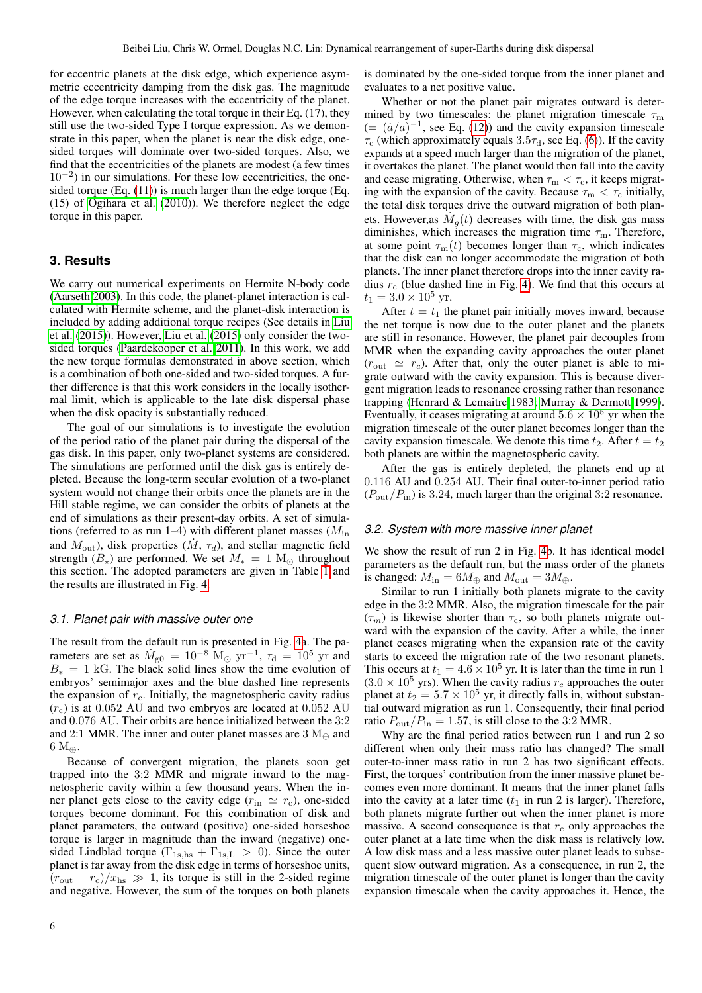for eccentric planets at the disk edge, which experience asymmetric eccentricity damping from the disk gas. The magnitude of the edge torque increases with the eccentricity of the planet. However, when calculating the total torque in their Eq. (17), they still use the two-sided Type I torque expression. As we demonstrate in this paper, when the planet is near the disk edge, onesided torques will dominate over two-sided torques. Also, we find that the eccentricities of the planets are modest (a few times 10−<sup>2</sup> ) in our simulations. For these low eccentricities, the onesided torque (Eq. [\(11\)](#page-3-4)) is much larger than the edge torque (Eq. (15) of [Ogihara et al.](#page-9-67) [\(2010\)](#page-9-67)). We therefore neglect the edge torque in this paper.

# <span id="page-5-0"></span>**3. Results**

We carry out numerical experiments on Hermite N-body code [\(Aarseth 2003\)](#page-9-68). In this code, the planet-planet interaction is calculated with Hermite scheme, and the planet-disk interaction is included by adding additional torque recipes (See details in [Liu](#page-9-69) [et al.](#page-9-69) [\(2015\)](#page-9-69)). However, [Liu et al.](#page-9-69) [\(2015\)](#page-9-69) only consider the twosided torques [\(Paardekooper et al. 2011\)](#page-9-70). In this work, we add the new torque formulas demonstrated in above section, which is a combination of both one-sided and two-sided torques. A further difference is that this work considers in the locally isothermal limit, which is applicable to the late disk dispersal phase when the disk opacity is substantially reduced.

The goal of our simulations is to investigate the evolution of the period ratio of the planet pair during the dispersal of the gas disk. In this paper, only two-planet systems are considered. The simulations are performed until the disk gas is entirely depleted. Because the long-term secular evolution of a two-planet system would not change their orbits once the planets are in the Hill stable regime, we can consider the orbits of planets at the end of simulations as their present-day orbits. A set of simulations (referred to as run 1–4) with different planet masses  $(M_{\text{in}})$ and  $M_{\text{out}}$ ), disk properties  $(M, \tau_d)$ , and stellar magnetic field strength  $(B_{\star})$  are performed. We set  $M_{*} = 1 \text{ M}_{\odot}$  throughout this section. The adopted parameters are given in Table [1](#page-6-0) and the results are illustrated in Fig. [4.](#page-6-1)

#### *3.1. Planet pair with massive outer one*

The result from the default run is presented in Fig. [4a](#page-6-1). The parameters are set as  $\dot{M}_{\rm g0} = 10^{-8}$   $\rm M_{\odot}$  yr<sup>-1</sup>,  $\tau_{\rm d} = 10^{5}$  yr and  $B_* = 1$  kG. The black solid lines show the time evolution of embryos' semimajor axes and the blue dashed line represents the expansion of  $r_c$ . Initially, the magnetospheric cavity radius  $(r_c)$  is at 0.052 AU and two embryos are located at 0.052 AU and 0.076 AU. Their orbits are hence initialized between the 3:2 and 2:1 MMR. The inner and outer planet masses are  $3 M_{\oplus}$  and  $6 M_{\oplus}$ .

Because of convergent migration, the planets soon get trapped into the 3:2 MMR and migrate inward to the magnetospheric cavity within a few thousand years. When the inner planet gets close to the cavity edge  $(r_{\text{in}} \simeq r_{\text{c}})$ , one-sided torques become dominant. For this combination of disk and planet parameters, the outward (positive) one-sided horseshoe torque is larger in magnitude than the inward (negative) onesided Lindblad torque ( $\Gamma_{1s,hs} + \Gamma_{1s,L} > 0$ ). Since the outer planet is far away from the disk edge in terms of horseshoe units,  $(r_{\text{out}} - r_{\text{c}})/x_{\text{hs}} \gg 1$ , its torque is still in the 2-sided regime and negative. However, the sum of the torques on both planets is dominated by the one-sided torque from the inner planet and evaluates to a net positive value.

Whether or not the planet pair migrates outward is determined by two timescales: the planet migration timescale  $\tau_{\rm m}$  $(=(\dot{a}/a)^{-1}$ , see Eq. [\(12\)](#page-3-6)) and the cavity expansion timescale  $\tau_c$  (which approximately equals  $3.5\tau_d$ , see Eq. [\(6\)](#page-2-2)). If the cavity expands at a speed much larger than the migration of the planet, it overtakes the planet. The planet would then fall into the cavity and cease migrating. Otherwise, when  $\tau_{\rm m} < \tau_{\rm c}$ , it keeps migrating with the expansion of the cavity. Because  $\tau_{\rm m} < \tau_{\rm c}$  initially, the total disk torques drive the outward migration of both planets. However, as  $\dot{M}_g(t)$  decreases with time, the disk gas mass diminishes, which increases the migration time  $\tau_{\rm m}$ . Therefore, at some point  $\tau_{\text{m}}(t)$  becomes longer than  $\tau_{\text{c}}$ , which indicates that the disk can no longer accommodate the migration of both planets. The inner planet therefore drops into the inner cavity radius  $r_c$  (blue dashed line in Fig. [4\)](#page-6-1). We find that this occurs at  $t_1 = 3.0 \times 10^5$  yr.

After  $t = t_1$  the planet pair initially moves inward, because the net torque is now due to the outer planet and the planets are still in resonance. However, the planet pair decouples from MMR when the expanding cavity approaches the outer planet  $(r_{\text{out}} \simeq r_c)$ . After that, only the outer planet is able to migrate outward with the cavity expansion. This is because divergent migration leads to resonance crossing rather than resonance trapping [\(Henrard & Lemaitre 1983;](#page-9-71) [Murray & Dermott 1999\)](#page-9-72). Eventually, it ceases migrating at around  $5.6 \times 10^5$  yr when the migration timescale of the outer planet becomes longer than the cavity expansion timescale. We denote this time  $t_2$ . After  $t = t_2$ both planets are within the magnetospheric cavity.

After the gas is entirely depleted, the planets end up at 0.116 AU and 0.254 AU. Their final outer-to-inner period ratio  $(P_{\text{out}}/P_{\text{in}})$  is 3.24, much larger than the original 3:2 resonance.

#### *3.2. System with more massive inner planet*

We show the result of run 2 in Fig. [4b](#page-6-1). It has identical model parameters as the default run, but the mass order of the planets is changed:  $M_{\text{in}} = 6M_{\oplus}$  and  $M_{\text{out}} = 3M_{\oplus}$ .

Similar to run 1 initially both planets migrate to the cavity edge in the 3:2 MMR. Also, the migration timescale for the pair  $(\tau_m)$  is likewise shorter than  $\tau_c$ , so both planets migrate outward with the expansion of the cavity. After a while, the inner planet ceases migrating when the expansion rate of the cavity starts to exceed the migration rate of the two resonant planets. This occurs at  $t_1 = 4.6 \times 10^5$  yr. It is later than the time in run 1  $(3.0 \times 10^5 \text{ yrs})$ . When the cavity radius  $r_c$  approaches the outer planet at  $t_2 = 5.7 \times 10^5$  yr, it directly falls in, without substantial outward migration as run 1. Consequently, their final period ratio  $P_{\text{out}}/P_{\text{in}} = 1.57$ , is still close to the 3:2 MMR.

Why are the final period ratios between run 1 and run 2 so different when only their mass ratio has changed? The small outer-to-inner mass ratio in run 2 has two significant effects. First, the torques' contribution from the inner massive planet becomes even more dominant. It means that the inner planet falls into the cavity at a later time  $(t_1$  in run 2 is larger). Therefore, both planets migrate further out when the inner planet is more massive. A second consequence is that  $r_c$  only approaches the outer planet at a late time when the disk mass is relatively low. A low disk mass and a less massive outer planet leads to subsequent slow outward migration. As a consequence, in run 2, the migration timescale of the outer planet is longer than the cavity expansion timescale when the cavity approaches it. Hence, the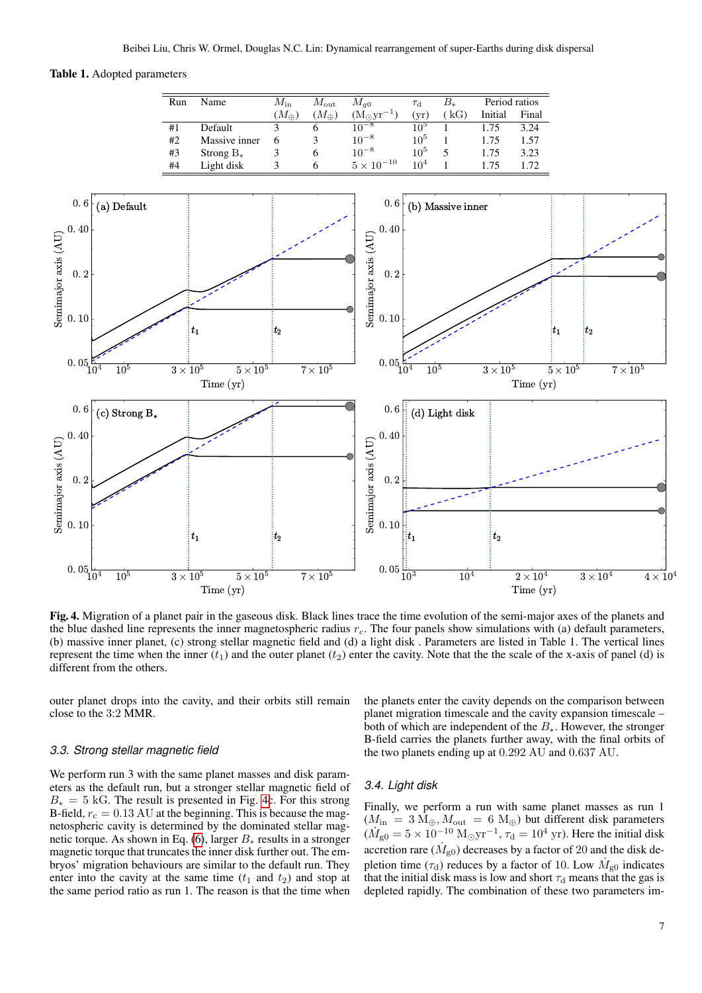## <span id="page-6-0"></span>Table 1. Adopted parameters



<span id="page-6-1"></span>Fig. 4. Migration of a planet pair in the gaseous disk. Black lines trace the time evolution of the semi-major axes of the planets and the blue dashed line represents the inner magnetospheric radius  $r_c$ . The four panels show simulations with (a) default parameters, (b) massive inner planet, (c) strong stellar magnetic field and (d) a light disk . Parameters are listed in Table 1. The vertical lines represent the time when the inner  $(t_1)$  and the outer planet  $(t_2)$  enter the cavity. Note that the the scale of the x-axis of panel (d) is different from the others.

outer planet drops into the cavity, and their orbits still remain close to the 3:2 MMR.

#### *3.3. Strong stellar magnetic field*

We perform run 3 with the same planet masses and disk parameters as the default run, but a stronger stellar magnetic field of  $B_* = 5$  kG. The result is presented in Fig. [4c](#page-6-1). For this strong B-field,  $r_c = 0.13 \text{ AU}$  at the beginning. This is because the magnetospheric cavity is determined by the dominated stellar mag-netic torque. As shown in Eq. [\(6\)](#page-2-2), larger  $B_*$  results in a stronger magnetic torque that truncates the inner disk further out. The embryos' migration behaviours are similar to the default run. They enter into the cavity at the same time  $(t_1$  and  $t_2)$  and stop at the same period ratio as run 1. The reason is that the time when the planets enter the cavity depends on the comparison between planet migration timescale and the cavity expansion timescale – both of which are independent of the  $B_*$ . However, the stronger B-field carries the planets further away, with the final orbits of the two planets ending up at 0.292 AU and 0.637 AU.

# *3.4. Light disk*

Finally, we perform a run with same planet masses as run 1  $(M_{\text{in}} = 3 M_{\oplus}, M_{\text{out}} = 6 M_{\oplus})$  but different disk parameters  $(\dot{M}_{\rm g0} = 5 \times 10^{-10} \text{ M}_{\odot} \text{yr}^{-1}, \tau_{\rm d} = 10^{4} \text{ yr})$ . Here the initial disk accretion rare  $(\dot{M}_{\rm g0})$  decreases by a factor of 20 and the disk depletion time ( $\tau_d$ ) reduces by a factor of 10. Low  $\dot{M}_{g0}$  indicates that the initial disk mass is low and short  $\tau_d$  means that the gas is depleted rapidly. The combination of these two parameters im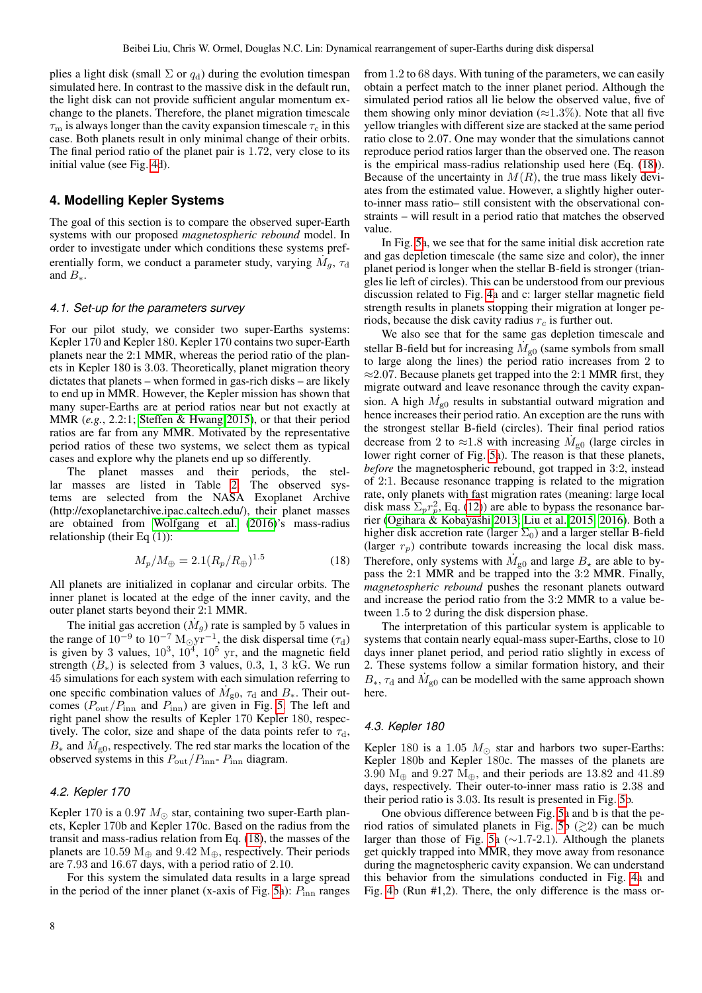plies a light disk (small  $\Sigma$  or  $q_d$ ) during the evolution timespan simulated here. In contrast to the massive disk in the default run, the light disk can not provide sufficient angular momentum exchange to the planets. Therefore, the planet migration timescale  $\tau_{\rm m}$  is always longer than the cavity expansion timescale  $\tau_{\rm c}$  in this case. Both planets result in only minimal change of their orbits. The final period ratio of the planet pair is 1.72, very close to its initial value (see Fig. [4d](#page-6-1)).

# <span id="page-7-0"></span>**4. Modelling Kepler Systems**

The goal of this section is to compare the observed super-Earth systems with our proposed *magnetospheric rebound* model. In order to investigate under which conditions these systems preferentially form, we conduct a parameter study, varying  $\dot{M}_g$ ,  $\tau_d$ and  $B_*$ .

#### *4.1. Set-up for the parameters survey*

For our pilot study, we consider two super-Earths systems: Kepler 170 and Kepler 180. Kepler 170 contains two super-Earth planets near the 2:1 MMR, whereas the period ratio of the planets in Kepler 180 is 3.03. Theoretically, planet migration theory dictates that planets – when formed in gas-rich disks – are likely to end up in MMR. However, the Kepler mission has shown that many super-Earths are at period ratios near but not exactly at MMR (*e.g.*, 2.2:1; [Steffen & Hwang 2015\)](#page-9-73), or that their period ratios are far from any MMR. Motivated by the representative period ratios of these two systems, we select them as typical cases and explore why the planets end up so differently.

The planet masses and their periods, the stellar masses are listed in Table [2.](#page-8-1) The observed systems are selected from the NASA Exoplanet Archive (http://exoplanetarchive.ipac.caltech.edu/), their planet masses are obtained from [Wolfgang et al.](#page-10-6) [\(2016\)](#page-10-6)'s mass-radius relationship (their Eq (1)):

<span id="page-7-1"></span>
$$
M_p/M_{\oplus} = 2.1 (R_p/R_{\oplus})^{1.5}
$$
 (18)

All planets are initialized in coplanar and circular orbits. The inner planet is located at the edge of the inner cavity, and the outer planet starts beyond their 2:1 MMR.

The initial gas accretion  $(M_g)$  rate is sampled by 5 values in the range of  $10^{-9}$  to  $10^{-7}$   $M_{\odot}yr^{-1}$ , the disk dispersal time  $(\tau_d)$ is given by 3 values,  $10^3$ ,  $10^4$ ,  $10^5$  yr, and the magnetic field strength  $(B_*)$  is selected from 3 values, 0.3, 1, 3 kG. We run 45 simulations for each system with each simulation referring to one specific combination values of  $\dot{M}_{g0}$ ,  $\tau_{d}$  and  $B_{*}$ . Their outcomes  $(P_{\text{out}}/P_{\text{inn}})$  and  $P_{\text{inn}}$ ) are given in Fig. [5.](#page-8-2) The left and right panel show the results of Kepler 170 Kepler 180, respectively. The color, size and shape of the data points refer to  $\tau_d$ ,  $B_*$  and  $\dot{M}_{\rm g0}$ , respectively. The red star marks the location of the observed systems in this  $P_{\text{out}}/P_{\text{inn}}$ -  $P_{\text{inn}}$  diagram.

# *4.2. Kepler 170*

Kepler 170 is a 0.97  $M_{\odot}$  star, containing two super-Earth planets, Kepler 170b and Kepler 170c. Based on the radius from the transit and mass-radius relation from Eq. [\(18\)](#page-7-1), the masses of the planets are 10.59  $M_{\oplus}$  and 9.42  $M_{\oplus}$ , respectively. Their periods are 7.93 and 16.67 days, with a period ratio of 2.10.

For this system the simulated data results in a large spread in the period of the inner planet (x-axis of Fig. [5a](#page-8-2)):  $P_{\text{inn}}$  ranges from 1.2 to 68 days. With tuning of the parameters, we can easily obtain a perfect match to the inner planet period. Although the simulated period ratios all lie below the observed value, five of them showing only minor deviation ( $\approx$ 1.3%). Note that all five yellow triangles with different size are stacked at the same period ratio close to 2.07. One may wonder that the simulations cannot reproduce period ratios larger than the observed one. The reason is the empirical mass-radius relationship used here (Eq. [\(18\)](#page-7-1)). Because of the uncertainty in  $M(R)$ , the true mass likely deviates from the estimated value. However, a slightly higher outerto-inner mass ratio– still consistent with the observational constraints – will result in a period ratio that matches the observed value.

In Fig. [5a](#page-8-2), we see that for the same initial disk accretion rate and gas depletion timescale (the same size and color), the inner planet period is longer when the stellar B-field is stronger (triangles lie left of circles). This can be understood from our previous discussion related to Fig. [4a](#page-6-1) and c: larger stellar magnetic field strength results in planets stopping their migration at longer periods, because the disk cavity radius  $r_c$  is further out.

We also see that for the same gas depletion timescale and stellar B-field but for increasing  $\dot{M}_{g0}$  (same symbols from small to large along the lines) the period ratio increases from 2 to  $\approx$  2.07. Because planets get trapped into the 2:1 MMR first, they migrate outward and leave resonance through the cavity expansion. A high  $\dot{M}_{g0}$  results in substantial outward migration and hence increases their period ratio. An exception are the runs with the strongest stellar B-field (circles). Their final period ratios decrease from 2 to  $\approx$ 1.8 with increasing  $\dot{M}_{g0}$  (large circles in lower right corner of Fig. [5a](#page-8-2)). The reason is that these planets, *before* the magnetospheric rebound, got trapped in 3:2, instead of 2:1. Because resonance trapping is related to the migration rate, only planets with fast migration rates (meaning: large local disk mass  $\Sigma_p r_p^2$ , Eq. [\(12\)](#page-3-6)) are able to bypass the resonance barrier [\(Ogihara & Kobayashi 2013;](#page-9-74) [Liu et al. 2015,](#page-9-69) [2016\)](#page-9-75). Both a higher disk accretion rate (larger  $\Sigma_0$ ) and a larger stellar B-field (larger  $r_p$ ) contribute towards increasing the local disk mass. Therefore, only systems with  $\dot{M}_{\rm g0}$  and large  $B_{\star}$  are able to bypass the 2:1 MMR and be trapped into the 3:2 MMR. Finally, *magnetospheric rebound* pushes the resonant planets outward and increase the period ratio from the 3:2 MMR to a value between 1.5 to 2 during the disk dispersion phase.

The interpretation of this particular system is applicable to systems that contain nearly equal-mass super-Earths, close to 10 days inner planet period, and period ratio slightly in excess of 2. These systems follow a similar formation history, and their  $B_*$ ,  $\tau_d$  and  $\dot{M}_{g0}$  can be modelled with the same approach shown here.

#### *4.3. Kepler 180*

Kepler 180 is a 1.05  $M_{\odot}$  star and harbors two super-Earths: Kepler 180b and Kepler 180c. The masses of the planets are 3.90  $M_{\oplus}$  and 9.27  $M_{\oplus}$ , and their periods are 13.82 and 41.89 days, respectively. Their outer-to-inner mass ratio is 2.38 and their period ratio is 3.03. Its result is presented in Fig. [5b](#page-8-2).

One obvious difference between Fig. [5a](#page-8-2) and b is that the pe-riod ratios of simulated planets in Fig. [5b](#page-8-2)  $(\geq 2)$  can be much larger than those of Fig. [5a](#page-8-2) (∼1.7-2.1). Although the planets get quickly trapped into MMR, they move away from resonance during the magnetospheric cavity expansion. We can understand this behavior from the simulations conducted in Fig. [4a](#page-6-1) and Fig. [4b](#page-6-1) (Run #1,2). There, the only difference is the mass or-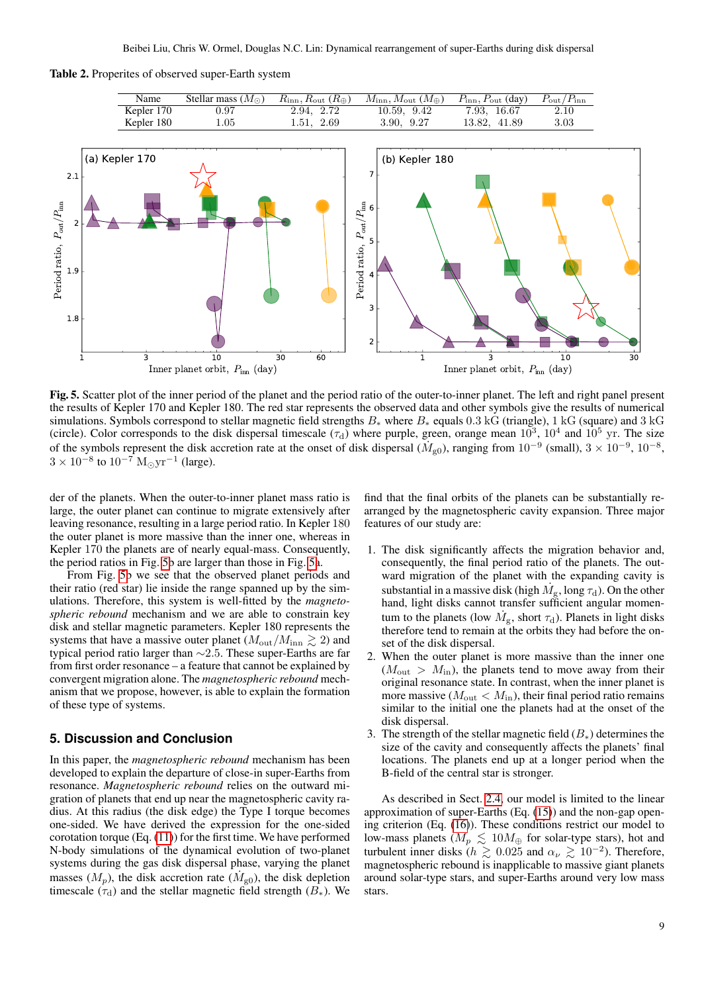<span id="page-8-1"></span>Table 2. Properites of observed super-Earth system



<span id="page-8-2"></span>Fig. 5. Scatter plot of the inner period of the planet and the period ratio of the outer-to-inner planet. The left and right panel present the results of Kepler 170 and Kepler 180. The red star represents the observed data and other symbols give the results of numerical simulations. Symbols correspond to stellar magnetic field strengths  $B_*$  where  $B_*$  equals 0.3 kG (triangle), 1 kG (square) and 3 kG (circle). Color corresponds to the disk dispersal timescale  $(\tau_d)$  where purple, green, orange mean  $10^3$ ,  $10^4$  and  $10^5$  yr. The size of the symbols represent the disk accretion rate at the onset of disk dispersal  $(M_{g0})$ , ranging from  $10^{-9}$  (small),  $3 \times 10^{-9}$ ,  $10^{-8}$ ,  $3 \times 10^{-8}$  to  $10^{-7}$  M<sub>o</sub>yr<sup>-1</sup> (large).

der of the planets. When the outer-to-inner planet mass ratio is large, the outer planet can continue to migrate extensively after leaving resonance, resulting in a large period ratio. In Kepler 180 the outer planet is more massive than the inner one, whereas in Kepler 170 the planets are of nearly equal-mass. Consequently, the period ratios in Fig. [5b](#page-8-2) are larger than those in Fig. [5a](#page-8-2).

From Fig. [5b](#page-8-2) we see that the observed planet periods and their ratio (red star) lie inside the range spanned up by the simulations. Therefore, this system is well-fitted by the *magnetospheric rebound* mechanism and we are able to constrain key disk and stellar magnetic parameters. Kepler 180 represents the systems that have a massive outer planet  $(M_{\text{out}}/M_{\text{inn}} \gtrsim 2)$  and typical period ratio larger than ∼2.5. These super-Earths are far from first order resonance – a feature that cannot be explained by convergent migration alone. The *magnetospheric rebound* mechanism that we propose, however, is able to explain the formation of these type of systems.

# <span id="page-8-0"></span>**5. Discussion and Conclusion**

In this paper, the *magnetospheric rebound* mechanism has been developed to explain the departure of close-in super-Earths from resonance. *Magnetospheric rebound* relies on the outward migration of planets that end up near the magnetospheric cavity radius. At this radius (the disk edge) the Type I torque becomes one-sided. We have derived the expression for the one-sided corotation torque (Eq. [\(11\)](#page-3-4)) for the first time. We have performed N-body simulations of the dynamical evolution of two-planet systems during the gas disk dispersal phase, varying the planet masses  $(M_p)$ , the disk accretion rate  $(M_{g0})$ , the disk depletion timescale ( $\tau_d$ ) and the stellar magnetic field strength ( $B_*$ ). We find that the final orbits of the planets can be substantially rearranged by the magnetospheric cavity expansion. Three major features of our study are:

- 1. The disk significantly affects the migration behavior and, consequently, the final period ratio of the planets. The outward migration of the planet with the expanding cavity is substantial in a massive disk (high  $\dot{M}_{\rm g}$ , long  $\tau_{\rm d}$ ). On the other hand, light disks cannot transfer sufficient angular momentum to the planets (low  $\dot{M}_{\rm g}$ , short  $\tau_{\rm d}$ ). Planets in light disks therefore tend to remain at the orbits they had before the onset of the disk dispersal.
- 2. When the outer planet is more massive than the inner one  $(M_{\text{out}} > M_{\text{in}})$ , the planets tend to move away from their original resonance state. In contrast, when the inner planet is more massive ( $M_{\text{out}} < M_{\text{in}}$ ), their final period ratio remains similar to the initial one the planets had at the onset of the disk dispersal.
- 3. The strength of the stellar magnetic field  $(B_*)$  determines the size of the cavity and consequently affects the planets' final locations. The planets end up at a longer period when the B-field of the central star is stronger.

As described in Sect. [2.4,](#page-4-0) our model is limited to the linear approximation of super-Earths (Eq. [\(15\)](#page-4-2)) and the non-gap opening criterion (Eq. [\(16\)](#page-4-3)). These conditions restrict our model to low-mass planets ( $M_p \lesssim 10 M_{\oplus}$  for solar-type stars), hot and turbulent inner disks ( $h \gtrsim 0.025$  and  $\alpha_{\nu} \gtrsim 10^{-2}$ ). Therefore, magnetospheric rebound is inapplicable to massive giant planets around solar-type stars, and super-Earths around very low mass stars.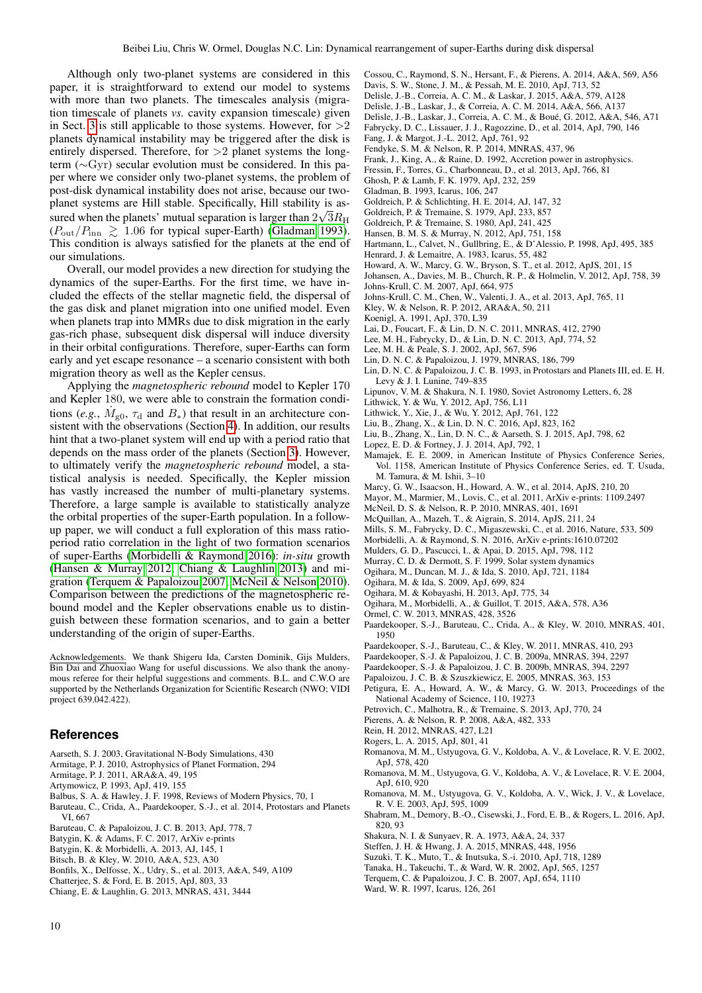Although only two-planet systems are considered in this paper, it is straightforward to extend our model to systems with more than two planets. The timescales analysis (migration timescale of planets *vs.* cavity expansion timescale) given in Sect. [3](#page-5-0) is still applicable to those systems. However, for  $>2$ planets dynamical instability may be triggered after the disk is entirely dispersed. Therefore, for  $>2$  planet systems the longterm (∼Gyr) secular evolution must be considered. In this paper where we consider only two-planet systems, the problem of post-disk dynamical instability does not arise, because our twoplanet systems are Hill stable. Specifically, Hill stability is assured when the planets' mutual separation is larger than  $2\sqrt{3}R_\mathrm{H}$  $(P_{\text{out}}/P_{\text{inn}} \ge 1.06$  for typical super-Earth) [\(Gladman 1993\)](#page-9-76). This condition is always satisfied for the planets at the end of our simulations.

Overall, our model provides a new direction for studying the dynamics of the super-Earths. For the first time, we have included the effects of the stellar magnetic field, the dispersal of the gas disk and planet migration into one unified model. Even when planets trap into MMRs due to disk migration in the early gas-rich phase, subsequent disk dispersal will induce diversity in their orbital configurations. Therefore, super-Earths can form early and yet escape resonance – a scenario consistent with both migration theory as well as the Kepler census.

Applying the *magnetospheric rebound* model to Kepler 170 and Kepler 180, we were able to constrain the formation conditions (*e.g.*,  $\dot{M}_{\text{g0}}$ ,  $\tau_{\text{d}}$  and  $B_*$ ) that result in an architecture consistent with the observations (Section [4\)](#page-7-0). In addition, our results hint that a two-planet system will end up with a period ratio that depends on the mass order of the planets (Section [3\)](#page-5-0). However, to ultimately verify the *magnetospheric rebound* model, a statistical analysis is needed. Specifically, the Kepler mission has vastly increased the number of multi-planetary systems. Therefore, a large sample is available to statistically analyze the orbital properties of the super-Earth population. In a followup paper, we will conduct a full exploration of this mass ratioperiod ratio correlation in the light of two formation scenarios of super-Earths [\(Morbidelli & Raymond 2016\)](#page-9-77): *in-situ* growth [\(Hansen & Murray 2012;](#page-9-78) [Chiang & Laughlin 2013\)](#page-9-79) and migration [\(Terquem & Papaloizou 2007;](#page-9-80) [McNeil & Nelson 2010\)](#page-9-81). Comparison between the predictions of the magnetospheric rebound model and the Kepler observations enable us to distinguish between these formation scenarios, and to gain a better understanding of the origin of super-Earths.

Acknowledgements. We thank Shigeru Ida, Carsten Dominik, Gijs Mulders, Bin Dai and Zhuoxiao Wang for useful discussions. We also thank the anonymous referee for their helpful suggestions and comments. B.L. and C.W.O are supported by the Netherlands Organization for Scientific Research (NWO; VIDI project 639.042.422).

## **References**

- <span id="page-9-68"></span>Aarseth, S. J. 2003, Gravitational N-Body Simulations, 430
- <span id="page-9-43"></span>Armitage, P. J. 2010, Astrophysics of Planet Formation, 294
- <span id="page-9-65"></span>Armitage, P. J. 2011, ARA&A, 49, 195
- <span id="page-9-55"></span>Artymowicz, P. 1993, ApJ, 419, 155
- <span id="page-9-62"></span>Balbus, S. A. & Hawley, J. F. 1998, Reviews of Modern Physics, 70, 1
- <span id="page-9-17"></span>Baruteau, C., Crida, A., Paardekooper, S.-J., et al. 2014, Protostars and Planets VI, 667
- <span id="page-9-31"></span>Baruteau, C. & Papaloizou, J. C. B. 2013, ApJ, 778, 7
- <span id="page-9-30"></span>Batygin, K. & Adams, F. C. 2017, ArXiv e-prints
- <span id="page-9-24"></span>Batygin, K. & Morbidelli, A. 2013, AJ, 145, 1
- <span id="page-9-60"></span>Bitsch, B. & Kley, W. 2010, A&A, 523, A30
- <span id="page-9-4"></span>Bonfils, X., Delfosse, X., Udry, S., et al. 2013, A&A, 549, A109
- <span id="page-9-28"></span>Chatterjee, S. & Ford, E. B. 2015, ApJ, 803, 33
- <span id="page-9-79"></span>Chiang, E. & Laughlin, G. 2013, MNRAS, 431, 3444
- <span id="page-9-63"></span><span id="page-9-35"></span>Cossou, C., Raymond, S. N., Hersant, F., & Pierens, A. 2014, A&A, 569, A56
- <span id="page-9-33"></span>Davis, S. W., Stone, J. M., & Pessah, M. E. 2010, ApJ, 713, 52
- Delisle, J.-B., Correia, A. C. M., & Laskar, J. 2015, A&A, 579, A128
- <span id="page-9-26"></span>Delisle, J.-B., Laskar, J., & Correia, A. C. M. 2014, A&A, 566, A137
- <span id="page-9-23"></span>Delisle, J.-B., Laskar, J., Correia, A. C. M., & Boue, G. 2012, A&A, 546, A71 ´
- <span id="page-9-12"></span>Fabrycky, D. C., Lissauer, J. J., Ragozzine, D., et al. 2014, ApJ, 790, 146
- <span id="page-9-11"></span>Fang, J. & Margot, J.-L. 2012, ApJ, 761, 92
- <span id="page-9-61"></span>Fendyke, S. M. & Nelson, R. P. 2014, MNRAS, 437, 96
- <span id="page-9-44"></span>Frank, J., King, A., & Raine, D. 1992, Accretion power in astrophysics.
- <span id="page-9-2"></span>Fressin, F., Torres, G., Charbonneau, D., et al. 2013, ApJ, 766, 81
- <span id="page-9-42"></span>Ghosh, P. & Lamb, F. K. 1979, ApJ, 232, 259
- <span id="page-9-76"></span><span id="page-9-32"></span>Gladman, B. 1993, Icarus, 106, 247
- Goldreich, P. & Schlichting, H. E. 2014, AJ, 147, 32
- <span id="page-9-15"></span>Goldreich, P. & Tremaine, S. 1979, ApJ, 233, 857
- <span id="page-9-51"></span>Goldreich, P. & Tremaine, S. 1980, ApJ, 241, 425
- <span id="page-9-78"></span>Hansen, B. M. S. & Murray, N. 2012, ApJ, 751, 158
- <span id="page-9-66"></span>Hartmann, L., Calvet, N., Gullbring, E., & D'Alessio, P. 1998, ApJ, 495, 385
- <span id="page-9-71"></span>Henrard, J. & Lemaitre, A. 1983, Icarus, 55, 482
- <span id="page-9-1"></span>Howard, A. W., Marcy, G. W., Bryson, S. T., et al. 2012, ApJS, 201, 15
- <span id="page-9-37"></span><span id="page-9-10"></span>Johansen, A., Davies, M. B., Church, R. P., & Holmelin, V. 2012, ApJ, 758, 39 Johns-Krull, C. M. 2007, ApJ, 664, 975
- <span id="page-9-41"></span>Johns-Krull, C. M., Chen, W., Valenti, J. A., et al. 2013, ApJ, 765, 11
- <span id="page-9-16"></span>Kley, W. & Nelson, R. P. 2012, ARA&A, 50, 211
- <span id="page-9-38"></span>Koenigl, A. 1991, ApJ, 370, L39
- <span id="page-9-46"></span>Lai, D., Foucart, F., & Lin, D. N. C. 2011, MNRAS, 412, 2790
- <span id="page-9-25"></span>Lee, M. H., Fabrycky, D., & Lin, D. N. C. 2013, ApJ, 774, 52
- <span id="page-9-18"></span>Lee, M. H. & Peale, S. J. 2002, ApJ, 567, 596
- <span id="page-9-14"></span>Lin, D. N. C. & Papaloizou, J. 1979, MNRAS, 186, 799
- <span id="page-9-54"></span>Lin, D. N. C. & Papaloizou, J. C. B. 1993, in Protostars and Planets III, ed. E. H.
- Levy & J. I. Lunine, 749–835
- <span id="page-9-45"></span>Lipunov, V. M. & Shakura, N. I. 1980, Soviet Astronomy Letters, 6, 28
- <span id="page-9-22"></span>Lithwick, Y. & Wu, Y. 2012, ApJ, 756, L11
- <span id="page-9-6"></span>Lithwick, Y., Xie, J., & Wu, Y. 2012, ApJ, 761, 122
- <span id="page-9-75"></span>Liu, B., Zhang, X., & Lin, D. N. C. 2016, ApJ, 823, 162
- <span id="page-9-69"></span>Liu, B., Zhang, X., Lin, D. N. C., & Aarseth, S. J. 2015, ApJ, 798, 62
- <span id="page-9-8"></span>Lopez, E. D. & Fortney, J. J. 2014, ApJ, 792, 1
- <span id="page-9-40"></span>Mamajek, E. E. 2009, in American Institute of Physics Conference Series, Vol. 1158, American Institute of Physics Conference Series, ed. T. Usuda, M. Tamura, & M. Ishii, 3–10
- <span id="page-9-7"></span>Marcy, G. W., Isaacson, H., Howard, A. W., et al. 2014, ApJS, 210, 20
- <span id="page-9-3"></span>Mayor, M., Marmier, M., Lovis, C., et al. 2011, ArXiv e-prints: 1109.2497
- <span id="page-9-81"></span>McNeil, D. S. & Nelson, R. P. 2010, MNRAS, 401, 1691
- <span id="page-9-49"></span>McQuillan, A., Mazeh, T., & Aigrain, S. 2014, ApJS, 211, 24
- <span id="page-9-21"></span>Mills, S. M., Fabrycky, D. C., Migaszewski, C., et al. 2016, Nature, 533, 509
- <span id="page-9-77"></span>Morbidelli, A. & Raymond, S. N. 2016, ArXiv e-prints:1610.07202
- <span id="page-9-5"></span>Mulders, G. D., Pascucci, I., & Apai, D. 2015, ApJ, 798, 112
- <span id="page-9-72"></span>Murray, C. D. & Dermott, S. F. 1999, Solar system dynamics
- <span id="page-9-67"></span>Ogihara, M., Duncan, M. J., & Ida, S. 2010, ApJ, 721, 1184
- <span id="page-9-34"></span>Ogihara, M. & Ida, S. 2009, ApJ, 699, 824
- <span id="page-9-74"></span>Ogihara, M. & Kobayashi, H. 2013, ApJ, 775, 34
- 
- <span id="page-9-36"></span>Ogihara, M., Morbidelli, A., & Guillot, T. 2015, A&A, 578, A36
- <span id="page-9-58"></span>Ormel, C. W. 2013, MNRAS, 428, 3526
- <span id="page-9-53"></span>Paardekooper, S.-J., Baruteau, C., Crida, A., & Kley, W. 2010, MNRAS, 401, 1950
- <span id="page-9-70"></span>Paardekooper, S.-J., Baruteau, C., & Kley, W. 2011, MNRAS, 410, 293
- <span id="page-9-56"></span>Paardekooper, S.-J. & Papaloizou, J. C. B. 2009a, MNRAS, 394, 2297
- <span id="page-9-57"></span>Paardekooper, S.-J. & Papaloizou, J. C. B. 2009b, MNRAS, 394, 2297
- <span id="page-9-19"></span>Papaloizou, J. C. B. & Szuszkiewicz, E. 2005, MNRAS, 363, 153
- <span id="page-9-0"></span>Petigura, E. A., Howard, A. W., & Marcy, G. W. 2013, Proceedings of the National Academy of Science, 110, 19273
- <span id="page-9-27"></span>Petrovich, C., Malhotra, R., & Tremaine, S. 2013, ApJ, 770, 24
- <span id="page-9-20"></span>Pierens, A. & Nelson, R. P. 2008, A&A, 482, 333
- <span id="page-9-29"></span>Rein, H. 2012, MNRAS, 427, L21
- <span id="page-9-9"></span>Rogers, L. A. 2015, ApJ, 801, 41
- <span id="page-9-59"></span>Romanova, M. M., Ustyugova, G. V., Koldoba, A. V., & Lovelace, R. V. E. 2002, ApJ, 578, 420
- <span id="page-9-48"></span>Romanova, M. M., Ustyugova, G. V., Koldoba, A. V., & Lovelace, R. V. E. 2004, ApJ, 610, 920
- <span id="page-9-47"></span>Romanova, M. M., Ustyugova, G. V., Koldoba, A. V., Wick, J. V., & Lovelace, R. V. E. 2003, ApJ, 595, 1009
- <span id="page-9-13"></span>Shabram, M., Demory, B.-O., Cisewski, J., Ford, E. B., & Rogers, L. 2016, ApJ, 820, 93
- <span id="page-9-39"></span>Shakura, N. I. & Sunyaev, R. A. 1973, A&A, 24, 337
- <span id="page-9-73"></span>Steffen, J. H. & Hwang, J. A. 2015, MNRAS, 448, 1956
- <span id="page-9-64"></span>Suzuki, T. K., Muto, T., & Inutsuka, S.-i. 2010, ApJ, 718, 1289
- <span id="page-9-52"></span>Tanaka, H., Takeuchi, T., & Ward, W. R. 2002, ApJ, 565, 1257
- <span id="page-9-80"></span>Terquem, C. & Papaloizou, J. C. B. 2007, ApJ, 654, 1110
- <span id="page-9-50"></span>Ward, W. R. 1997, Icarus, 126, 261